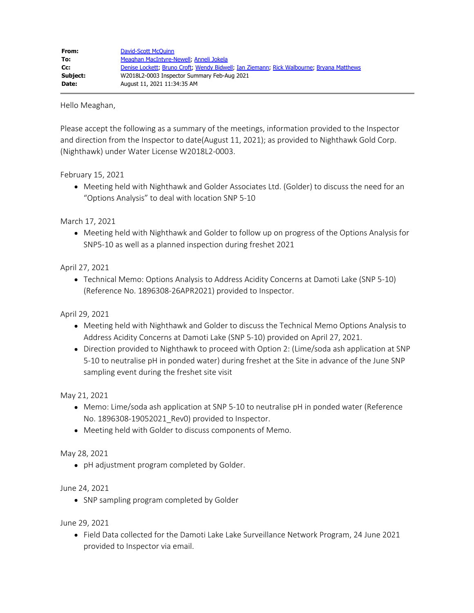Hello Meaghan,

Please accept the following as a summary of the meetings, information provided to the Inspector and direction from the Inspector to date(August 11, 2021); as provided to Nighthawk Gold Corp. (Nighthawk) under Water License W2018L2-0003.

February 15, 2021

Meeting held with Nighthawk and Golder Associates Ltd. (Golder) to discuss the need for an "Options Analysis" to deal with location SNP 5-10

March 17, 2021

Meeting held with Nighthawk and Golder to follow up on progress of the Options Analysis for SNP5-10 as well as a planned inspection during freshet 2021

April 27, 2021

Technical Memo: Options Analysis to Address Acidity Concerns at Damoti Lake (SNP 5-10) (Reference No. 1896308-26APR2021) provided to Inspector.

April 29, 2021

- Meeting held with Nighthawk and Golder to discuss the Technical Memo Options Analysis to Address Acidity Concerns at Damoti Lake (SNP 5-10) provided on April 27, 2021.
- Direction provided to Nighthawk to proceed with Option 2: (Lime/soda ash application at SNP 5-10 to neutralise pH in ponded water) during freshet at the Site in advance of the June SNP sampling event during the freshet site visit

May 21, 2021

- Memo: Lime/soda ash application at SNP 5-10 to neutralise pH in ponded water (Reference No. 1896308-19052021\_Rev0) provided to Inspector.
- Meeting held with Golder to discuss components of Memo.

May 28, 2021

• pH adjustment program completed by Golder.

June 24, 2021

• SNP sampling program completed by Golder

June 29, 2021

Field Data collected for the Damoti Lake Lake Surveillance Network Program, 24 June 2021 provided to Inspector via email.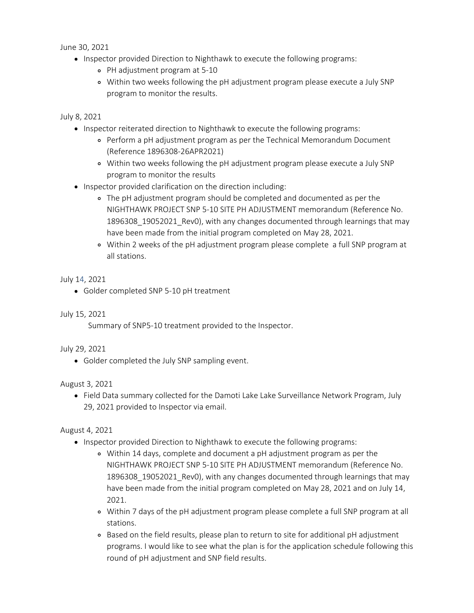June 30, 2021

- Inspector provided Direction to Nighthawk to execute the following programs:
	- PH adjustment program at 5-10
	- Within two weeks following the pH adjustment program please execute a July SNP program to monitor the results.

July 8, 2021

- Inspector reiterated direction to Nighthawk to execute the following programs:
	- Perform a pH adjustment program as per the Technical Memorandum Document (Reference 1896308-26APR2021)
	- Within two weeks following the pH adjustment program please execute a July SNP program to monitor the results
- Inspector provided clarification on the direction including:
	- The pH adjustment program should be completed and documented as per the NIGHTHAWK PROJECT SNP 5-10 SITE PH ADJUSTMENT memorandum (Reference No. 1896308\_19052021\_Rev0), with any changes documented through learnings that may have been made from the initial program completed on May 28, 2021.
	- Within 2 weeks of the pH adjustment program please complete a full SNP program at all stations.

### July 14, 2021

Golder completed SNP 5-10 pH treatment

# July 15, 2021

Summary of SNP5-10 treatment provided to the Inspector.

#### July 29, 2021

Golder completed the July SNP sampling event.

# August 3, 2021

Field Data summary collected for the Damoti Lake Lake Surveillance Network Program, July 29, 2021 provided to Inspector via email.

# August 4, 2021

- Inspector provided Direction to Nighthawk to execute the following programs:
	- Within 14 days, complete and document a pH adjustment program as per the NIGHTHAWK PROJECT SNP 5-10 SITE PH ADJUSTMENT memorandum (Reference No. 1896308\_19052021\_Rev0), with any changes documented through learnings that may have been made from the initial program completed on May 28, 2021 and on July 14, 2021.
	- Within 7 days of the pH adjustment program please complete a full SNP program at all stations.
	- Based on the field results, please plan to return to site for additional pH adjustment programs. I would like to see what the plan is for the application schedule following this round of pH adjustment and SNP field results.